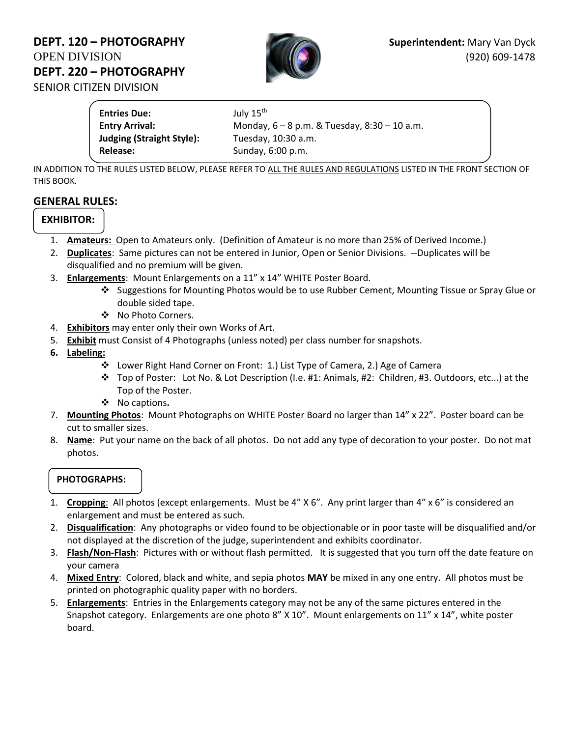# **DEPT. 120 – PHOTOGRAPHY Superintendent:** Mary Van Dyck OPEN DIVISION (920) 609-1478 **DEPT. 220 – PHOTOGRAPHY**  SENIOR CITIZEN DIVISION



**Entries Due:** July 15<sup>th</sup> **Entry Arrival:** Monday, 6 – 8 p.m. & Tuesday, 8:30 – 10 a.m. **Judging (Straight Style):** Tuesday, 10:30 a.m. **Release:** Sunday, 6:00 p.m.

IN ADDITION TO THE RULES LISTED BELOW, PLEASE REFER TO ALL THE RULES AND REGULATIONS LISTED IN THE FRONT SECTION OF THIS BOOK*.*

### **GENERAL RULES:**

### **EXHIBITOR:**

- 1. **Amateurs:** Open to Amateurs only. (Definition of Amateur is no more than 25% of Derived Income.)
- 2. **Duplicates**: Same pictures can not be entered in Junior, Open or Senior Divisions. --Duplicates will be disqualified and no premium will be given.
- 3. **Enlargements**: Mount Enlargements on a 11" x 14" WHITE Poster Board.
	- ❖ Suggestions for Mounting Photos would be to use Rubber Cement, Mounting Tissue or Spray Glue or double sided tape.
	- ❖ No Photo Corners.
- 4. **Exhibitors** may enter only their own Works of Art.
- 5. **Exhibit** must Consist of 4 Photographs (unless noted) per class number for snapshots.
- **6. Labeling:** 
	- ❖ Lower Right Hand Corner on Front: 1.) List Type of Camera, 2.) Age of Camera
	- ❖ Top of Poster: Lot No. & Lot Description (I.e. #1: Animals, #2: Children, #3. Outdoors, etc...) at the Top of the Poster.
	- ❖ No captions**.**
- 7. **Mounting Photos**: Mount Photographs on WHITE Poster Board no larger than 14" x 22". Poster board can be cut to smaller sizes.
- 8. **Name**: Put your name on the back of all photos. Do not add any type of decoration to your poster. Do not mat photos.

#### **PHOTOGRAPHS:**

- 1. **Cropping**: All photos (except enlargements. Must be 4" X 6". Any print larger than 4" x 6" is considered an enlargement and must be entered as such.
- 2. **Disqualification**: Any photographs or video found to be objectionable or in poor taste will be disqualified and/or not displayed at the discretion of the judge, superintendent and exhibits coordinator.
- 3. **Flash/Non-Flash**: Pictures with or without flash permitted. It is suggested that you turn off the date feature on your camera
- 4. **Mixed Entry**: Colored, black and white, and sepia photos **MAY** be mixed in any one entry. All photos must be printed on photographic quality paper with no borders.
- 5. **Enlargements**: Entries in the Enlargements category may not be any of the same pictures entered in the Snapshot category. Enlargements are one photo 8" X 10". Mount enlargements on 11" x 14", white poster board.